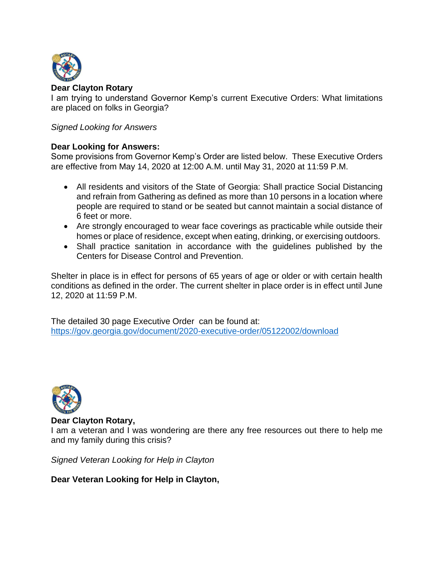

I am trying to understand Governor Kemp's current Executive Orders: What limitations are placed on folks in Georgia?

# *Signed Looking for Answers*

# **Dear Looking for Answers:**

Some provisions from Governor Kemp's Order are listed below. These Executive Orders are effective from May 14, 2020 at 12:00 A.M. until May 31, 2020 at 11:59 P.M.

- All residents and visitors of the State of Georgia: Shall practice Social Distancing and refrain from Gathering as defined as more than 10 persons in a location where people are required to stand or be seated but cannot maintain a social distance of 6 feet or more.
- Are strongly encouraged to wear face coverings as practicable while outside their homes or place of residence, except when eating, drinking, or exercising outdoors.
- Shall practice sanitation in accordance with the guidelines published by the Centers for Disease Control and Prevention.

Shelter in place is in effect for persons of 65 years of age or older or with certain health conditions as defined in the order. The current shelter in place order is in effect until June 12, 2020 at 11:59 P.M.

The detailed 30 page Executive Order can be found at: <https://gov.georgia.gov/document/2020-executive-order/05122002/download>



### **Dear Clayton Rotary,**

I am a veteran and I was wondering are there any free resources out there to help me and my family during this crisis?

*Signed Veteran Looking for Help in Clayton* 

# **Dear Veteran Looking for Help in Clayton,**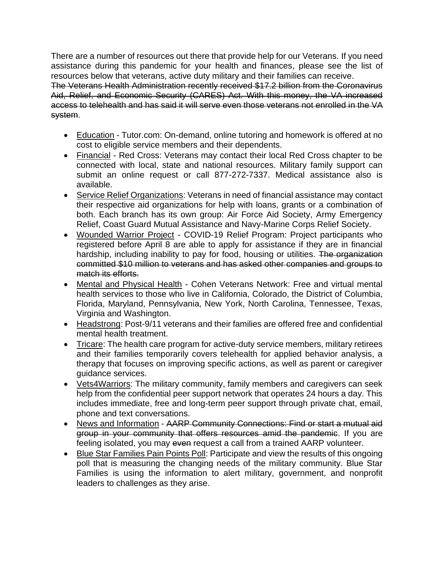There are a number of resources out there that provide help for our Veterans. If you need assistance during this pandemic for your health and finances, please see the list of resources below that veterans, active duty military and their families can receive.

The Veterans Health Administration recently received \$17.2 billion from the Coronavirus Aid, Relief, and Economic Security (CARES) Act. With this money, the VA increased access to telehealth and has said it will serve even those veterans not enrolled in the VA system.

- Education Tutor.com: On-demand, online tutoring and homework is offered at no cost to eligible service members and their dependents.
- Financial Red Cross: Veterans may contact their local Red Cross chapter to be connected with local, state and national resources. Military family support can submit an online request or call 877-272-7337. Medical assistance also is available.
- Service Relief Organizations: Veterans in need of financial assistance may contact their respective aid organizations for help with loans, grants or a combination of both. Each branch has its own group: Air Force Aid Society, Army Emergency Relief, Coast Guard Mutual Assistance and Navy-Marine Corps Relief Society.
- Wounded Warrior Project COVID-19 Relief Program: Project participants who registered before April 8 are able to apply for assistance if they are in financial hardship, including inability to pay for food, housing or utilities. The organization committed \$10 million to veterans and has asked other companies and groups to match its efforts.
- Mental and Physical Health Cohen Veterans Network: Free and virtual mental health services to those who live in California, Colorado, the District of Columbia, Florida, Maryland, Pennsylvania, New York, North Carolina, Tennessee, Texas, Virginia and Washington.
- Headstrong: Post-9/11 veterans and their families are offered free and confidential mental health treatment.
- Tricare: The health care program for active-duty service members, military retirees and their families temporarily covers telehealth for applied behavior analysis, a therapy that focuses on improving specific actions, as well as parent or caregiver guidance services.
- Vets4Warriors: The military community, family members and caregivers can seek help from the confidential peer support network that operates 24 hours a day. This includes immediate, free and long-term peer support through private chat, email, phone and text conversations.
- News and Information AARP Community Connections: Find or start a mutual aid group in your community that offers resources amid the pandemic. If you are feeling isolated, you may even request a call from a trained AARP volunteer.
- Blue Star Families Pain Points Poll: Participate and view the results of this ongoing poll that is measuring the changing needs of the military community. Blue Star Families is using the information to alert military, government, and nonprofit leaders to challenges as they arise.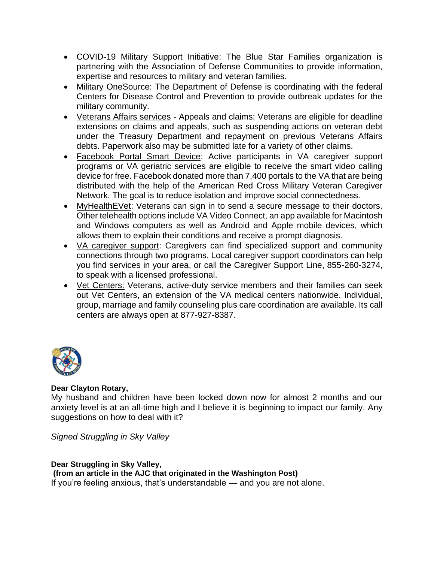- COVID-19 Military Support Initiative: The Blue Star Families organization is partnering with the Association of Defense Communities to provide information, expertise and resources to military and veteran families.
- Military OneSource: The Department of Defense is coordinating with the federal Centers for Disease Control and Prevention to provide outbreak updates for the military community.
- Veterans Affairs services Appeals and claims: Veterans are eligible for deadline extensions on claims and appeals, such as suspending actions on veteran debt under the Treasury Department and repayment on previous Veterans Affairs debts. Paperwork also may be submitted late for a variety of other claims.
- Facebook Portal Smart Device: Active participants in VA caregiver support programs or VA geriatric services are eligible to receive the smart video calling device for free. Facebook donated more than 7,400 portals to the VA that are being distributed with the help of the American Red Cross Military Veteran Caregiver Network. The goal is to reduce isolation and improve social connectedness.
- MyHealthEVet: Veterans can sign in to send a secure message to their doctors. Other telehealth options include VA Video Connect, an app available for Macintosh and Windows computers as well as Android and Apple mobile devices, which allows them to explain their conditions and receive a prompt diagnosis.
- VA caregiver support: Caregivers can find specialized support and community connections through two programs. Local caregiver support coordinators can help you find services in your area, or call the Caregiver Support Line, 855-260-3274, to speak with a licensed professional.
- Vet Centers: Veterans, active-duty service members and their families can seek out Vet Centers, an extension of the VA medical centers nationwide. Individual, group, marriage and family counseling plus care coordination are available. Its call centers are always open at 877-927-8387.



My husband and children have been locked down now for almost 2 months and our anxiety level is at an all-time high and I believe it is beginning to impact our family. Any suggestions on how to deal with it?

*Signed Struggling in Sky Valley* 

### **Dear Struggling in Sky Valley, (from an article in the AJC that originated in the Washington Post)** If you're feeling anxious, that's understandable — and you are not alone.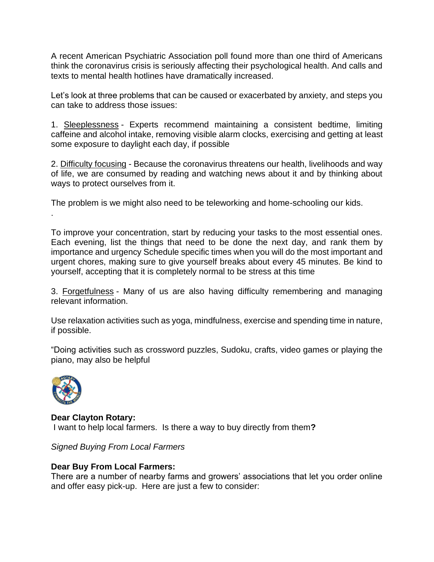A recent American Psychiatric Association poll found more than one third of Americans think the coronavirus crisis is seriously affecting their psychological health. And calls and texts to mental health hotlines have dramatically increased.

Let's look at three problems that can be caused or exacerbated by anxiety, and steps you can take to address those issues:

1. Sleeplessness - Experts recommend maintaining a consistent bedtime, limiting caffeine and alcohol intake, removing visible alarm clocks, exercising and getting at least some exposure to daylight each day, if possible

2. Difficulty focusing - Because the coronavirus threatens our health, livelihoods and way of life, we are consumed by reading and watching news about it and by thinking about ways to protect ourselves from it.

The problem is we might also need to be teleworking and home-schooling our kids.

To improve your concentration, start by reducing your tasks to the most essential ones. Each evening, list the things that need to be done the next day, and rank them by importance and urgency Schedule specific times when you will do the most important and urgent chores, making sure to give yourself breaks about every 45 minutes. Be kind to yourself, accepting that it is completely normal to be stress at this time

3. Forgetfulness - Many of us are also having difficulty remembering and managing relevant information.

Use relaxation activities such as yoga, mindfulness, exercise and spending time in nature, if possible.

"Doing activities such as crossword puzzles, Sudoku, crafts, video games or playing the piano, may also be helpful



.

**Dear Clayton Rotary:** I want to help local farmers. Is there a way to buy directly from them**?**

*Signed Buying From Local Farmers*

# **Dear Buy From Local Farmers:**

There are a number of nearby farms and growers' associations that let you order online and offer easy pick-up. Here are just a few to consider: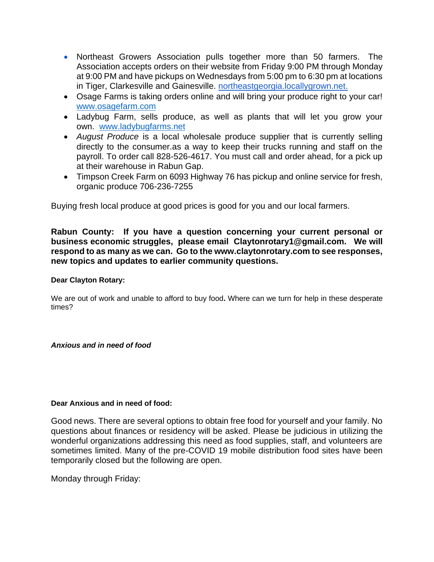- Northeast Growers Association pulls together more than 50 farmers. The Association accepts orders on their website from Friday 9:00 PM through Monday at 9:00 PM and have pickups on Wednesdays from 5:00 pm to 6:30 pm at locations in Tiger, Clarkesville and Gainesville. [northeastgeorgia.locallygrown.net.](https://northeastgeorgia.locallygrown.net/)
- Osage Farms is taking orders online and will bring your produce right to your car! [www.osagefarm.com](http://www.osagefarm.com/)
- Ladybug Farm, sells produce, as well as plants that will let you grow your own. [www.ladybugfarms.net](http://www.ladybugfarms.net/)
- *August Produce* is a local wholesale produce supplier that is currently selling directly to the consumer.as a way to keep their trucks running and staff on the payroll. To order call 828-526-4617. You must call and order ahead, for a pick up at their warehouse in Rabun Gap.
- Timpson Creek Farm on 6093 Highway 76 has pickup and online service for fresh, organic produce 706-236-7255

Buying fresh local produce at good prices is good for you and our local farmers.

**Rabun County: If you have a question concerning your current personal or business economic struggles, please email [Claytonrotary1@gmail.com.](mailto:Claytonrotary1@gmail.com) We will respond to as many as we can. Go to the www.claytonrotary.com to see responses, new topics and updates to earlier community questions.** 

### **Dear Clayton Rotary:**

We are out of work and unable to afford to buy food**.** Where can we turn for help in these desperate times?

### *Anxious and in need of food*

#### **Dear Anxious and in need of food:**

Good news. There are several options to obtain free food for yourself and your family. No questions about finances or residency will be asked. Please be judicious in utilizing the wonderful organizations addressing this need as food supplies, staff, and volunteers are sometimes limited. Many of the pre-COVID 19 mobile distribution food sites have been temporarily closed but the following are open.

Monday through Friday: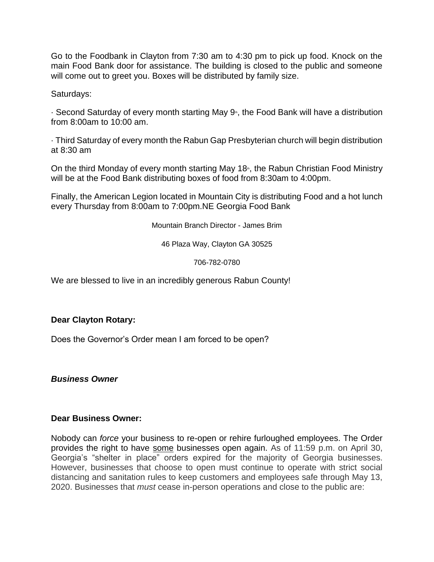Go to the Foodbank in Clayton from 7:30 am to 4:30 pm to pick up food. Knock on the main Food Bank door for assistance. The building is closed to the public and someone will come out to greet you. Boxes will be distributed by family size.

Saturdays:

 $\cdot$  Second Saturday of every month starting May 9<sup>th</sup>, the Food Bank will have a distribution from 8:00am to 10:00 am.

· Third Saturday of every month the Rabun Gap Presbyterian church will begin distribution at 8:30 am

On the third Monday of every month starting May 18<sup>th</sup>, the Rabun Christian Food Ministry will be at the Food Bank distributing boxes of food from 8:30am to 4:00pm.

Finally, the American Legion located in Mountain City is distributing Food and a hot lunch every Thursday from 8:00am to 7:00pm.NE Georgia Food Bank

Mountain Branch Director - James Brim

46 Plaza Way, Clayton GA 30525

706-782-0780

We are blessed to live in an incredibly generous Rabun County!

# **Dear Clayton Rotary:**

Does the Governor's Order mean I am forced to be open?

*Business Owner* 

### **Dear Business Owner:**

Nobody can *force* your business to re-open or rehire furloughed employees. The Order provides the right to have some businesses open again. As of 11:59 p.m. on April 30, Georgia's "shelter in place" orders expired for the majority of Georgia businesses. However, businesses that choose to open must continue to operate with strict social distancing and sanitation rules to keep customers and employees safe through May 13, 2020. Businesses that *must* cease in-person operations and close to the public are: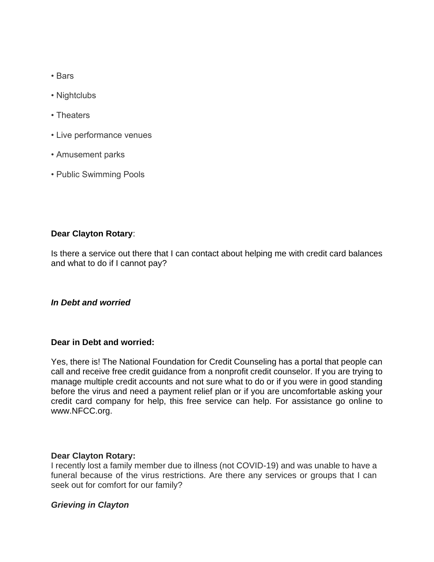- Bars
- Nightclubs
- Theaters
- Live performance venues
- Amusement parks
- Public Swimming Pools

Is there a service out there that I can contact about helping me with credit card balances and what to do if I cannot pay?

# *In Debt and worried*

### **Dear in Debt and worried:**

Yes, there is! The National Foundation for Credit Counseling has a portal that people can call and receive free credit guidance from a nonprofit credit counselor. If you are trying to manage multiple credit accounts and not sure what to do or if you were in good standing before the virus and need a payment relief plan or if you are uncomfortable asking your credit card company for help, this free service can help. For assistance go online to www.NFCC.org.

### **Dear Clayton Rotary:**

I recently lost a family member due to illness (not COVID-19) and was unable to have a funeral because of the virus restrictions. Are there any services or groups that I can seek out for comfort for our family?

# *Grieving in Clayton*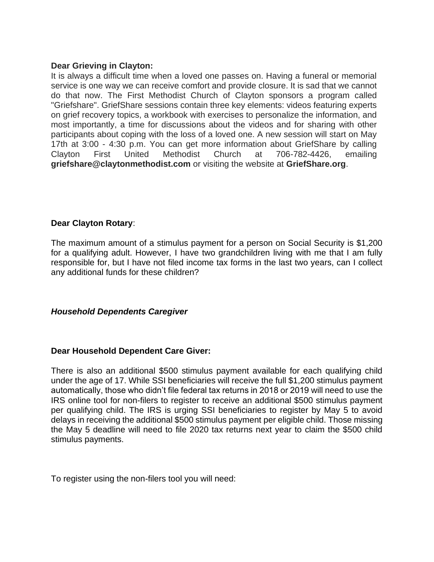## **Dear Grieving in Clayton:**

It is always a difficult time when a loved one passes on. Having a funeral or memorial service is one way we can receive comfort and provide closure. It is sad that we cannot do that now. The First Methodist Church of Clayton sponsors a program called "Griefshare". GriefShare sessions contain three key elements: videos featuring experts on grief recovery topics, a workbook with exercises to personalize the information, and most importantly, a time for discussions about the videos and for sharing with other participants about coping with the loss of a loved one. A new session will start on May 17th at 3:00 - 4:30 p.m. You can get more information about GriefShare by calling Clayton First United Methodist Church at 706-782-4426, emailing **griefshare@claytonmethodist.com** or visiting the website at **GriefShare.org**.

## **Dear Clayton Rotary**:

The maximum amount of a stimulus payment for a person on Social Security is \$1,200 for a qualifying adult. However, I have two grandchildren living with me that I am fully responsible for, but I have not filed income tax forms in the last two years, can I collect any additional funds for these children?

# *Household Dependents Caregiver*

### **Dear Household Dependent Care Giver:**

There is also an additional \$500 stimulus payment available for each qualifying child under the age of 17. While SSI beneficiaries will receive the full \$1,200 stimulus payment automatically, those who didn't file federal tax returns in 2018 or 2019 will need to use the IRS online tool for non-filers to register to receive an additional \$500 stimulus payment per qualifying child. The IRS is urging SSI beneficiaries to register by May 5 to avoid delays in receiving the additional \$500 stimulus payment per eligible child. Those missing the May 5 deadline will need to file 2020 tax returns next year to claim the \$500 child stimulus payments.

To register using the non-filers tool you will need: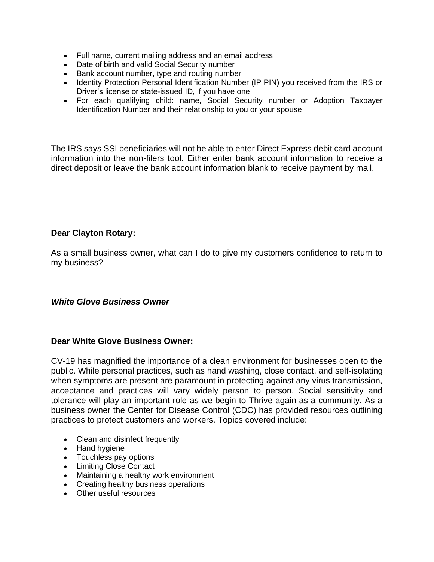- Full name, current mailing address and an email address
- Date of birth and valid Social Security number
- Bank account number, type and routing number
- Identity Protection Personal Identification Number (IP PIN) you received from the IRS or Driver's license or state-issued ID, if you have one
- For each qualifying child: name, Social Security number or Adoption Taxpayer Identification Number and their relationship to you or your spouse

The IRS says SSI beneficiaries will not be able to enter Direct Express debit card account information into the non-filers tool. Either enter bank account information to receive a direct deposit or leave the bank account information blank to receive payment by mail.

## **Dear Clayton Rotary:**

As a small business owner, what can I do to give my customers confidence to return to my business?

### *White Glove Business Owner*

### **Dear White Glove Business Owner:**

CV-19 has magnified the importance of a clean environment for businesses open to the public. While personal practices, such as hand washing, close contact, and self-isolating when symptoms are present are paramount in protecting against any virus transmission, acceptance and practices will vary widely person to person. Social sensitivity and tolerance will play an important role as we begin to Thrive again as a community. As a business owner the Center for Disease Control (CDC) has provided resources outlining practices to protect customers and workers. Topics covered include:

- Clean and disinfect frequently
- Hand hygiene
- Touchless pay options
- Limiting Close Contact
- Maintaining a healthy work environment
- Creating healthy business operations
- Other useful resources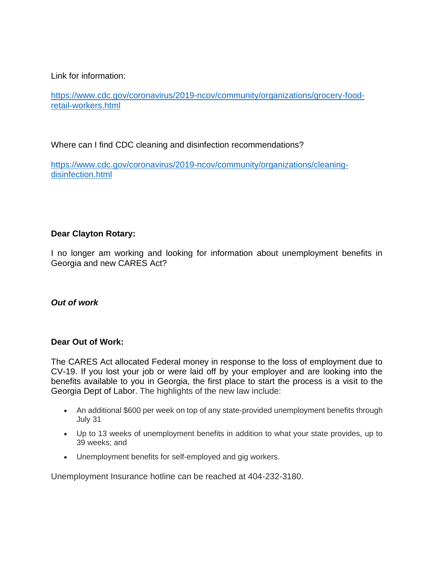# Link for information:

[https://www.cdc.gov/coronavirus/2019-ncov/community/organizations/grocery-food](https://www.cdc.gov/coronavirus/2019-ncov/community/organizations/grocery-food-retail-workers.html)[retail-workers.html](https://www.cdc.gov/coronavirus/2019-ncov/community/organizations/grocery-food-retail-workers.html)

Where can I find CDC cleaning and disinfection recommendations?

[https://www.cdc.gov/coronavirus/2019-ncov/community/organizations/cleaning](https://www.cdc.gov/coronavirus/2019-ncov/community/organizations/cleaning-disinfection.html)[disinfection.html](https://www.cdc.gov/coronavirus/2019-ncov/community/organizations/cleaning-disinfection.html)

# **Dear Clayton Rotary:**

I no longer am working and looking for information about unemployment benefits in Georgia and new CARES Act?

# *Out of work*

# **Dear Out of Work:**

The CARES Act allocated Federal money in response to the loss of employment due to CV-19. If you lost your job or were laid off by your employer and are looking into the benefits available to you in Georgia, the first place to start the process is a visit to the Georgia Dept of Labor. The highlights of the new law include:

- An additional \$600 per week on top of any state-provided unemployment benefits through July 31
- Up to 13 weeks of unemployment benefits in addition to what your state provides, up to 39 weeks; and
- Unemployment benefits for self-employed and gig workers.

Unemployment Insurance hotline can be reached at 404-232-3180.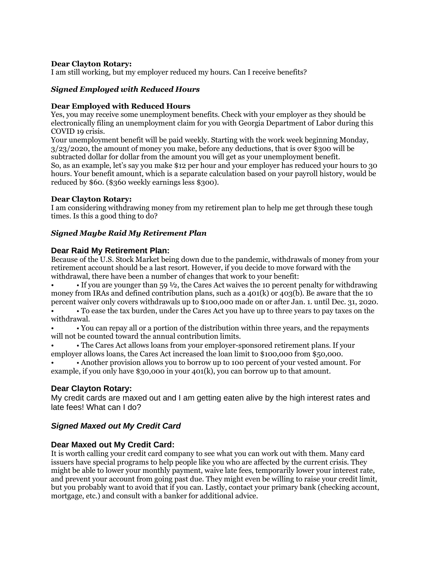I am still working, but my employer reduced my hours. Can I receive benefits?

#### *Signed Employed with Reduced Hours*

#### **Dear Employed with Reduced Hours**

Yes, you may receive some unemployment benefits. Check with your employer as they should be electronically filing an unemployment claim for you with Georgia Department of Labor during this COVID 19 crisis.

Your unemployment benefit will be paid weekly. Starting with the work week beginning Monday, 3/23/2020, the amount of money you make, before any deductions, that is over \$300 will be subtracted dollar for dollar from the amount you will get as your unemployment benefit. So, as an example, let's say you make \$12 per hour and your employer has reduced your hours to 30 hours. Your benefit amount, which is a separate calculation based on your payroll history, would be reduced by \$60. (\$360 weekly earnings less \$300).

#### **Dear Clayton Rotary:**

I am considering withdrawing money from my retirement plan to help me get through these tough times. Is this a good thing to do?

#### *Signed Maybe Raid My Retirement Plan*

#### **Dear Raid My Retirement Plan:**

Because of the U.S. Stock Market being down due to the pandemic, withdrawals of money from your retirement account should be a last resort. However, if you decide to move forward with the withdrawal, there have been a number of changes that work to your benefit:

• If you are younger than 59  $\frac{1}{2}$ , the Cares Act waives the 10 percent penalty for withdrawing money from IRAs and defined contribution plans, such as a  $401(k)$  or  $403(k)$ . Be aware that the 10 percent waiver only covers withdrawals up to \$100,000 made on or after Jan. 1. until Dec. 31, 2020.

• • To ease the tax burden, under the Cares Act you have up to three years to pay taxes on the withdrawal.

• • You can repay all or a portion of the distribution within three years, and the repayments will not be counted toward the annual contribution limits.

• • The Cares Act allows loans from your employer-sponsored retirement plans. If your employer allows loans, the Cares Act increased the loan limit to \$100,000 from \$50,000.

• • Another provision allows you to borrow up to 100 percent of your vested amount. For example, if you only have \$30,000 in your 401(k), you can borrow up to that amount.

### **Dear Clayton Rotary:**

My credit cards are maxed out and I am getting eaten alive by the high interest rates and late fees! What can I do?

### *Signed Maxed out My Credit Card*

### **Dear Maxed out My Credit Card:**

It is worth calling your credit card company to see what you can work out with them. Many card issuers have special programs to help people like you who are affected by the current crisis. They might be able to lower your monthly payment, waive late fees, temporarily lower your interest rate, and prevent your account from going past due. They might even be willing to raise your credit limit, but you probably want to avoid that if you can. Lastly, contact your primary bank (checking account, mortgage, etc.) and consult with a banker for additional advice.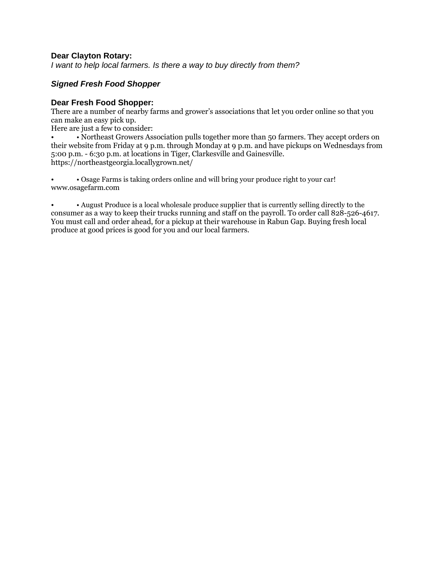*I want to help local farmers. Is there a way to buy directly from them?* 

# *Signed Fresh Food Shopper*

### **Dear Fresh Food Shopper:**

There are a number of nearby farms and grower's associations that let you order online so that you can make an easy pick up.

Here are just a few to consider:

• • Northeast Growers Association pulls together more than 50 farmers. They accept orders on their website from Friday at 9 p.m. through Monday at 9 p.m. and have pickups on Wednesdays from 5:00 p.m. - 6:30 p.m. at locations in Tiger, Clarkesville and Gainesville. https://northeastgeorgia.locallygrown.net/

• • Osage Farms is taking orders online and will bring your produce right to your car! www.osagefarm.com

• • August Produce is a local wholesale produce supplier that is currently selling directly to the consumer as a way to keep their trucks running and staff on the payroll. To order call 828-526-4617. You must call and order ahead, for a pickup at their warehouse in Rabun Gap. Buying fresh local produce at good prices is good for you and our local farmers.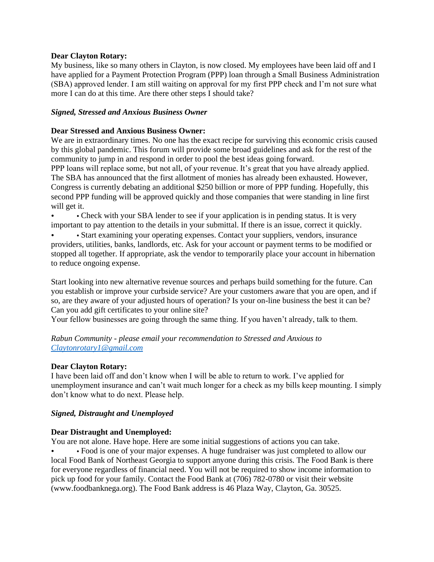My business, like so many others in Clayton, is now closed. My employees have been laid off and I have applied for a Payment Protection Program (PPP) loan through a Small Business Administration (SBA) approved lender. I am still waiting on approval for my first PPP check and I'm not sure what more I can do at this time. Are there other steps I should take?

#### *Signed, Stressed and Anxious Business Owner*

#### **Dear Stressed and Anxious Business Owner:**

We are in extraordinary times. No one has the exact recipe for surviving this economic crisis caused by this global pandemic. This forum will provide some broad guidelines and ask for the rest of the community to jump in and respond in order to pool the best ideas going forward.

PPP loans will replace some, but not all, of your revenue. It's great that you have already applied. The SBA has announced that the first allotment of monies has already been exhausted. However, Congress is currently debating an additional \$250 billion or more of PPP funding. Hopefully, this second PPP funding will be approved quickly and those companies that were standing in line first will get it.

• Check with your SBA lender to see if your application is in pending status. It is very important to pay attention to the details in your submittal. If there is an issue, correct it quickly.

• Start examining your operating expenses. Contact your suppliers, vendors, insurance providers, utilities, banks, landlords, etc. Ask for your account or payment terms to be modified or stopped all together. If appropriate, ask the vendor to temporarily place your account in hibernation to reduce ongoing expense.

Start looking into new alternative revenue sources and perhaps build something for the future. Can you establish or improve your curbside service? Are your customers aware that you are open, and if so, are they aware of your adjusted hours of operation? Is your on-line business the best it can be? Can you add gift certificates to your online site?

Your fellow businesses are going through the same thing. If you haven't already, talk to them.

*Rabun Community - please email your recommendation to Stressed and Anxious to [Claytonrotary1@gmail.com](mailto:Claytonrotary1@gmail.com)*

#### **Dear Clayton Rotary:**

I have been laid off and don't know when I will be able to return to work. I've applied for unemployment insurance and can't wait much longer for a check as my bills keep mounting. I simply don't know what to do next. Please help.

### *Signed, Distraught and Unemployed*

#### **Dear Distraught and Unemployed:**

You are not alone. Have hope. Here are some initial suggestions of actions you can take.

• • Food is one of your major expenses. A huge fundraiser was just completed to allow our local Food Bank of Northeast Georgia to support anyone during this crisis. The Food Bank is there for everyone regardless of financial need. You will not be required to show income information to pick up food for your family. Contact the Food Bank at (706) 782-0780 or visit their website (www.foodbanknega.org). The Food Bank address is 46 Plaza Way, Clayton, Ga. 30525.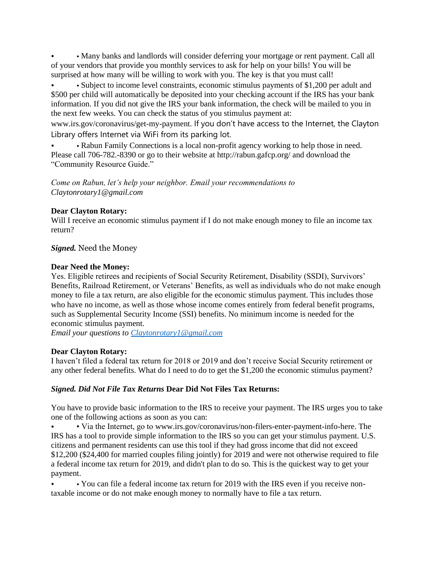• • Many banks and landlords will consider deferring your mortgage or rent payment. Call all of your vendors that provide you monthly services to ask for help on your bills! You will be surprised at how many will be willing to work with you. The key is that you must call!

• • Subject to income level constraints, economic stimulus payments of \$1,200 per adult and \$500 per child will automatically be deposited into your checking account if the IRS has your bank information. If you did not give the IRS your bank information, the check will be mailed to you in the next few weeks. You can check the status of you stimulus payment at:

www.irs.gov/coronavirus/get-my-payment. If you don't have access to the Internet, the Clayton Library offers Internet via WiFi from its parking lot.

• • Rabun Family Connections is a local non-profit agency working to help those in need. Please call 706-782.-8390 or go to their website at http://rabun.gafcp.org/ and download the "Community Resource Guide."

*Come on Rabun, let's help your neighbor. Email your recommendations to Claytonrotary1@gmail.com* 

# **Dear Clayton Rotary:**

Will I receive an economic stimulus payment if I do not make enough money to file an income tax return?

*Signed.* Need the Money

## **Dear Need the Money:**

Yes. Eligible retirees and recipients of Social Security Retirement, Disability (SSDI), Survivors' Benefits, Railroad Retirement, or Veterans' Benefits, as well as individuals who do not make enough money to file a tax return, are also eligible for the economic stimulus payment. This includes those who have no income, as well as those whose income comes entirely from federal benefit programs, such as Supplemental Security Income (SSI) benefits. No minimum income is needed for the economic stimulus payment.

*Email your questions to [Claytonrotary1@gmail.com](mailto:Claytonrotary1@gmail.com)*

# **Dear Clayton Rotary:**

I haven't filed a federal tax return for 2018 or 2019 and don't receive Social Security retirement or any other federal benefits. What do I need to do to get the \$1,200 the economic stimulus payment?

# *Signed. Did Not File Tax Returns* **Dear Did Not Files Tax Returns:**

You have to provide basic information to the IRS to receive your payment. The IRS urges you to take one of the following actions as soon as you can:

• • Via the Internet, go to www.irs.gov/coronavirus/non-filers-enter-payment-info-here. The IRS has a tool to provide simple information to the IRS so you can get your stimulus payment. U.S. citizens and permanent residents can use this tool if they had gross income that did not exceed \$12,200 (\$24,400 for married couples filing jointly) for 2019 and were not otherwise required to file a federal income tax return for 2019, and didn't plan to do so. This is the quickest way to get your payment.

• • You can file a federal income tax return for 2019 with the IRS even if you receive nontaxable income or do not make enough money to normally have to file a tax return.